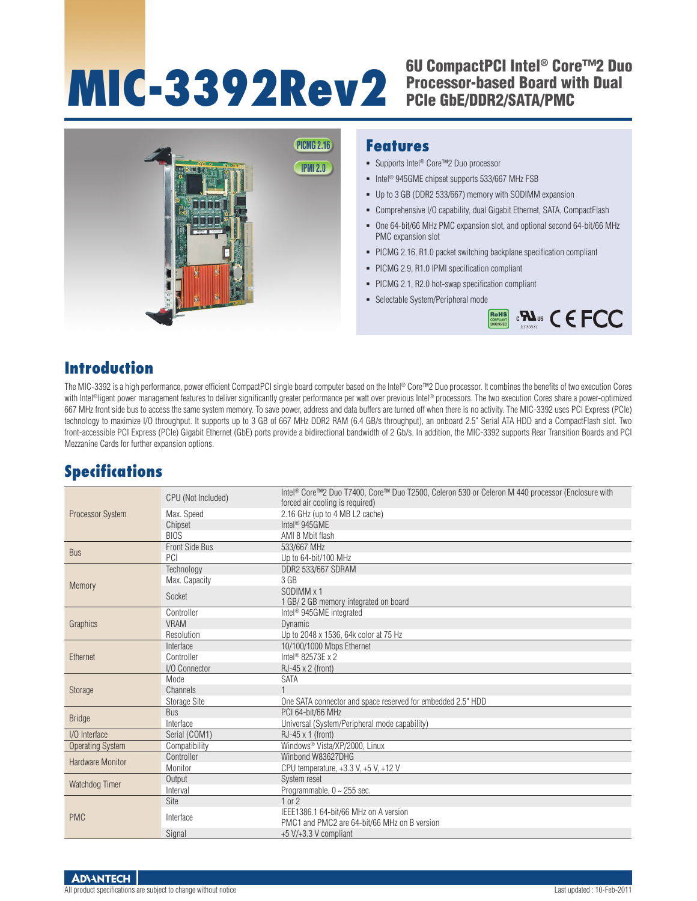# **MIC-3392Rev2** <sup>6U CompactPCI Intel® Core™2 Duo<br>Processor-based Board with Dual<br>PCle GbE/DDR2/SATA/PMC</sup>

# Processor-based Board with Dual PCIe GbE/DDR2/SATA/PMC



#### **Introduction**

The MIC-3392 is a high performance, power efficient CompactPCI single board computer based on the Intel® Core™2 Duo processor. It combines the benefits of two execution Cores with Intel®ligent power management features to deliver significantly greater performance per watt over previous Intel® processors. The two execution Cores share a power-optimized 667 MHz front side bus to access the same system memory. To save power, address and data buffers are turned off when there is no activity. The MIC-3392 uses PCI Express (PCIe) technology to maximize I/O throughput. It supports up to 3 GB of 667 MHz DDR2 RAM (6.4 GB/s throughput), an onboard 2.5" Serial ATA HDD and a CompactFlash slot. Two front-accessible PCI Express (PCIe) Gigabit Ethernet (GbE) ports provide a bidirectional bandwidth of 2 Gb/s. In addition, the MIC-3392 supports Rear Transition Boards and PCI Mezzanine Cards for further expansion options.

### **Specifications**

|                         | CPU (Not Included) | Intel <sup>®</sup> Core™2 Duo T7400, Core™ Duo T2500, Celeron 530 or Celeron M 440 processor (Enclosure with |  |  |  |  |  |  |
|-------------------------|--------------------|--------------------------------------------------------------------------------------------------------------|--|--|--|--|--|--|
| Processor System        |                    | forced air cooling is required)                                                                              |  |  |  |  |  |  |
|                         | Max. Speed         | 2.16 GHz (up to 4 MB L2 cache)                                                                               |  |  |  |  |  |  |
|                         | Chipset            | Intel <sup>®</sup> 945GME                                                                                    |  |  |  |  |  |  |
|                         | <b>BIOS</b>        | AMI 8 Mbit flash                                                                                             |  |  |  |  |  |  |
| <b>Bus</b>              | Front Side Bus     | 533/667 MHz                                                                                                  |  |  |  |  |  |  |
|                         | PCI                | Up to 64-bit/100 MHz                                                                                         |  |  |  |  |  |  |
|                         | Technology         | DDR2 533/667 SDRAM                                                                                           |  |  |  |  |  |  |
| Memory                  | Max. Capacity      | 3 <sub>GB</sub>                                                                                              |  |  |  |  |  |  |
|                         | Socket             | SODIMM x 1                                                                                                   |  |  |  |  |  |  |
|                         |                    | 1 GB/ 2 GB memory integrated on board                                                                        |  |  |  |  |  |  |
|                         | Controller         | Intel <sup>®</sup> 945GME integrated                                                                         |  |  |  |  |  |  |
| Graphics                | <b>VRAM</b>        | <b>Dynamic</b>                                                                                               |  |  |  |  |  |  |
|                         | Resolution         | Up to 2048 x 1536, 64k color at 75 Hz                                                                        |  |  |  |  |  |  |
|                         | Interface          | 10/100/1000 Mbps Ethernet                                                                                    |  |  |  |  |  |  |
| Ethernet                | Controller         | Intel <sup>®</sup> 82573E x 2                                                                                |  |  |  |  |  |  |
|                         | I/O Connector      | $RJ-45 \times 2$ (front)                                                                                     |  |  |  |  |  |  |
|                         | Mode               | <b>SATA</b>                                                                                                  |  |  |  |  |  |  |
| Storage                 | Channels           |                                                                                                              |  |  |  |  |  |  |
|                         | Storage Site       | One SATA connector and space reserved for embedded 2.5" HDD                                                  |  |  |  |  |  |  |
| <b>Bridge</b>           | <b>Bus</b>         | PCI 64-bit/66 MHz                                                                                            |  |  |  |  |  |  |
|                         | Interface          | Universal (System/Peripheral mode capability)                                                                |  |  |  |  |  |  |
| I/O Interface           | Serial (COM1)      | $RJ-45 \times 1$ (front)                                                                                     |  |  |  |  |  |  |
| <b>Operating System</b> | Compatibility      | Windows <sup>®</sup> Vista/XP/2000. Linux                                                                    |  |  |  |  |  |  |
| Hardware Monitor        | Controller         | Winbond W83627DHG                                                                                            |  |  |  |  |  |  |
|                         | Monitor            | CPU temperature, $+3.3$ V, $+5$ V, $+12$ V                                                                   |  |  |  |  |  |  |
| Watchdog Timer          | Output             | System reset                                                                                                 |  |  |  |  |  |  |
|                         | Interval           | Programmable, $0 \sim 255$ sec.                                                                              |  |  |  |  |  |  |
| <b>PMC</b>              | Site               | $1$ or $2$                                                                                                   |  |  |  |  |  |  |
|                         | Interface          | IEEE1386.1 64-bit/66 MHz on A version<br>PMC1 and PMC2 are 64-bit/66 MHz on B version                        |  |  |  |  |  |  |
|                         | Signal             | $+5$ V/ $+3.3$ V compliant                                                                                   |  |  |  |  |  |  |